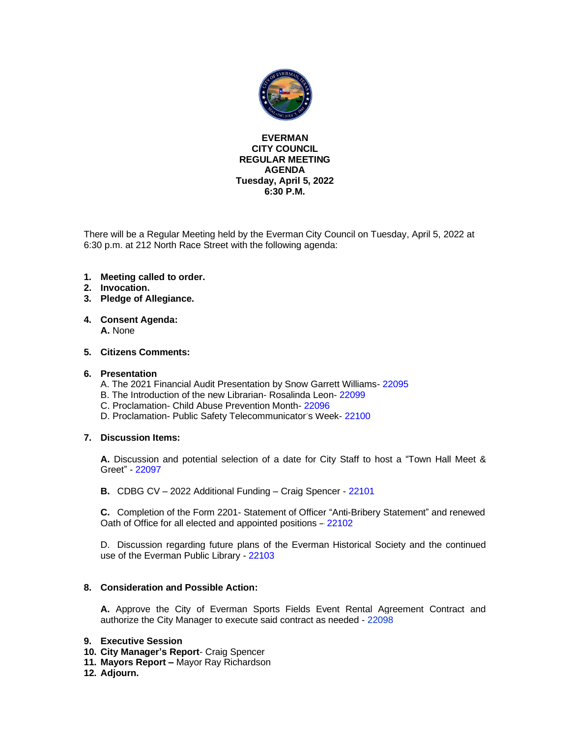

#### **EVERMAN CITY COUNCIL REGULAR MEETING AGENDA Tuesday, April 5, 2022 6:30 P.M.**

There will be a Regular Meeting held by the Everman City Council on Tuesday, April 5, 2022 at 6:30 p.m. at 212 North Race Street with the following agenda:

- **1. Meeting called to order.**
- **2. Invocation.**
- **3. Pledge of Allegiance.**
- **4. Consent Agenda: A.** None

#### **5. Citizens Comments:**

#### **6. Presentation**

- A. The 2021 Financial Audit Presentation by Snow Garrett Williams- [22095](#page-2-0)
- B. The Introduction of the new Librarian- Rosalinda Leon- [22099](#page-3-0)
- C. Proclamation- Child Abuse Prevention Month- [22096](#page-4-0)
- D. Proclamation- Public Safety Telecommunicator's Week- [22100](#page-5-0)

#### **7. Discussion Items:**

**A.** Discussion and potential selection of a date for City Staff to host a "Town Hall Meet & Greet" - [22097](#page-6-0)

**B.** CDBG CV – 2022 Additional Funding – Craig Spencer - [22101](#page-7-0)

**C.** Completion of the Form 2201- Statement of Officer "Anti-Bribery Statement" and renewed Oath of Office for all elected and appointed positions – [22102](#page-8-0)

D. Discussion regarding future plans of the Everman Historical Society and the continued use of the Everman Public Library - [22103](#page-9-0)

#### **8. Consideration and Possible Action:**

**A.** Approve the City of Everman Sports Fields Event Rental Agreement Contract and authorize the City Manager to execute said contract as needed - [22098](#page-10-0)

#### **9. Executive Session**

- **10. City Manager's Report** Craig Spencer
- **11. Mayors Report –** Mayor Ray Richardson
- **12. Adjourn.**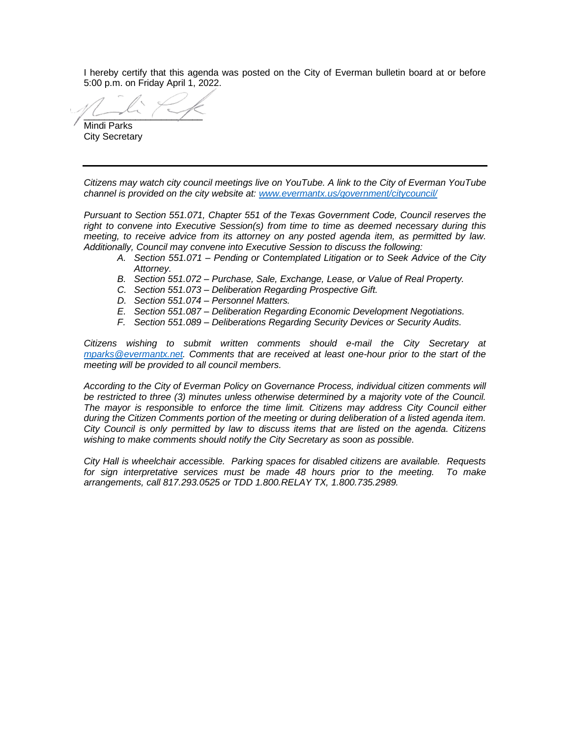I hereby certify that this agenda was posted on the City of Everman bulletin board at or before 5:00 p.m. on Friday April 1, 2022.

 $\sim$ Mindi Parks

City Secretary

*Citizens may watch city council meetings live on YouTube. A link to the City of Everman YouTube channel is provided on the city website at: [www.evermantx.us/government/citycouncil/](http://www.evermantx.us/government/citycouncil/)*

*Pursuant to Section 551.071, Chapter 551 of the Texas Government Code, Council reserves the right to convene into Executive Session(s) from time to time as deemed necessary during this meeting, to receive advice from its attorney on any posted agenda item, as permitted by law. Additionally, Council may convene into Executive Session to discuss the following:*

- *A. Section 551.071 – Pending or Contemplated Litigation or to Seek Advice of the City Attorney.*
- *B. Section 551.072 – Purchase, Sale, Exchange, Lease, or Value of Real Property.*
- *C. Section 551.073 – Deliberation Regarding Prospective Gift.*
- *D. Section 551.074 – Personnel Matters.*
- *E. Section 551.087 – Deliberation Regarding Economic Development Negotiations.*
- *F. Section 551.089 – Deliberations Regarding Security Devices or Security Audits.*

*Citizens wishing to submit written comments should e-mail the City Secretary at [mparks@evermantx.net.](mailto:mparks@evermantx.net) Comments that are received at least one-hour prior to the start of the meeting will be provided to all council members.* 

*According to the City of Everman Policy on Governance Process, individual citizen comments will be restricted to three (3) minutes unless otherwise determined by a majority vote of the Council. The mayor is responsible to enforce the time limit. Citizens may address City Council either during the Citizen Comments portion of the meeting or during deliberation of a listed agenda item. City Council is only permitted by law to discuss items that are listed on the agenda. Citizens wishing to make comments should notify the City Secretary as soon as possible.* 

*City Hall is wheelchair accessible. Parking spaces for disabled citizens are available. Requests for sign interpretative services must be made 48 hours prior to the meeting. To make arrangements, call 817.293.0525 or TDD 1.800.RELAY TX, 1.800.735.2989.*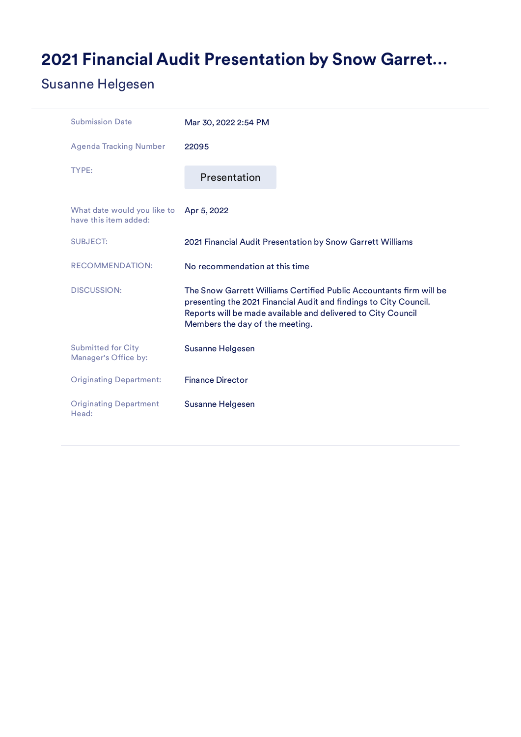# <span id="page-2-0"></span>2021 Financial Audit Presentation by Snow Garret…

### Susanne Helgesen

| <b>Submission Date</b>                               | Mar 30, 2022 2:54 PM            |                                                                                                                                                                                                          |
|------------------------------------------------------|---------------------------------|----------------------------------------------------------------------------------------------------------------------------------------------------------------------------------------------------------|
| <b>Agenda Tracking Number</b>                        | 22095                           |                                                                                                                                                                                                          |
| TYPE:                                                | Presentation                    |                                                                                                                                                                                                          |
| What date would you like to<br>have this item added: | Apr 5, 2022                     |                                                                                                                                                                                                          |
| <b>SUBJECT:</b>                                      |                                 | 2021 Financial Audit Presentation by Snow Garrett Williams                                                                                                                                               |
| <b>RECOMMENDATION:</b>                               | No recommendation at this time  |                                                                                                                                                                                                          |
| <b>DISCUSSION:</b>                                   | Members the day of the meeting. | The Snow Garrett Williams Certified Public Accountants firm will be<br>presenting the 2021 Financial Audit and findings to City Council.<br>Reports will be made available and delivered to City Council |
| <b>Submitted for City</b><br>Manager's Office by:    | Susanne Helgesen                |                                                                                                                                                                                                          |
| <b>Originating Department:</b>                       | <b>Finance Director</b>         |                                                                                                                                                                                                          |
| <b>Originating Department</b><br>Head:               | Susanne Helgesen                |                                                                                                                                                                                                          |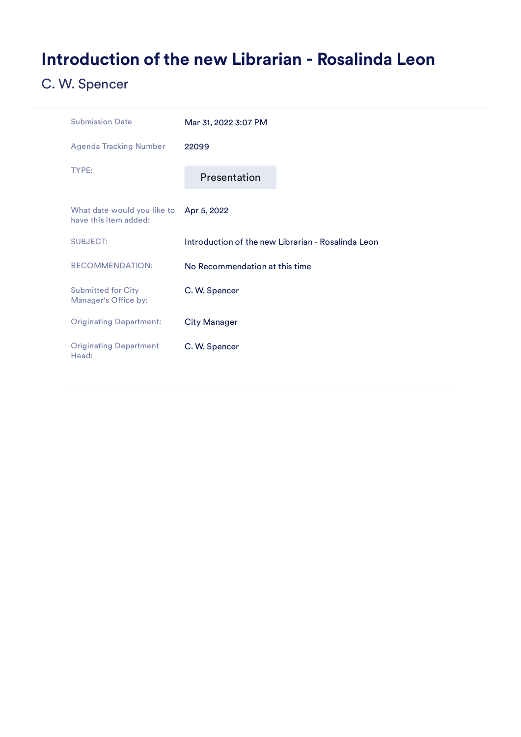# <span id="page-3-0"></span>Introduction of the new Librarian - Rosalinda Leon

| <b>Submission Date</b>                               | Mar 31, 2022 3:07 PM                               |
|------------------------------------------------------|----------------------------------------------------|
| <b>Agenda Tracking Number</b>                        | 22099                                              |
| TYPE:                                                | Presentation                                       |
| What date would you like to<br>have this item added: | Apr 5, 2022                                        |
| <b>SUBJECT:</b>                                      | Introduction of the new Librarian - Rosalinda Leon |
| <b>RECOMMENDATION:</b>                               | No Recommendation at this time                     |
| <b>Submitted for City</b><br>Manager's Office by:    | C. W. Spencer                                      |
| <b>Originating Department:</b>                       | <b>City Manager</b>                                |
| <b>Originating Department</b><br>Head:               | C. W. Spencer                                      |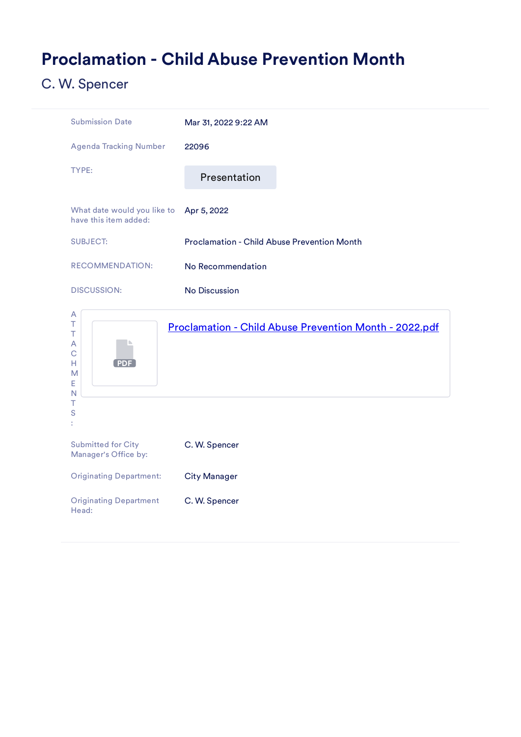## <span id="page-4-0"></span>Proclamation - Child Abuse Prevention Month



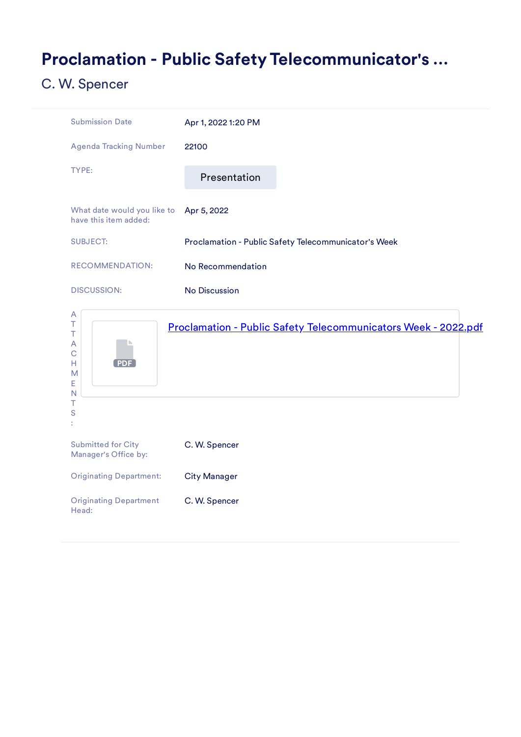## <span id="page-5-0"></span>Proclamation - Public Safety Telecommunicator's …



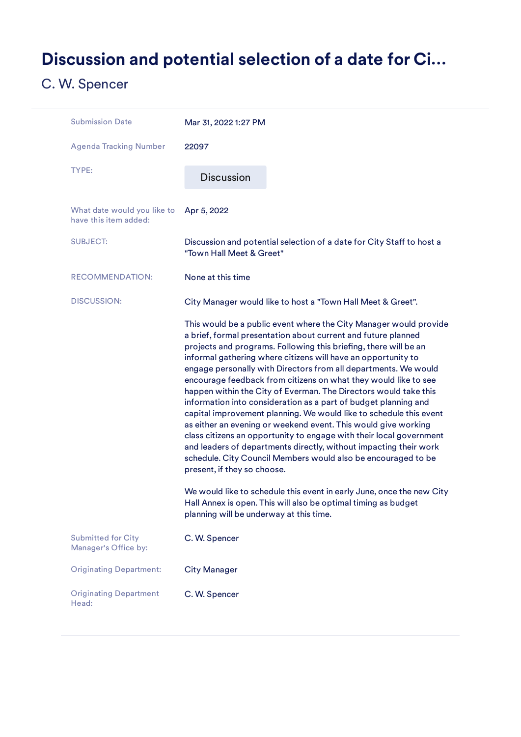# <span id="page-6-0"></span>Discussion and potential selection of a date for Ci…

| <b>Submission Date</b>                               | Mar 31, 2022 1:27 PM                                                                                                                                                                                                                                                                                                                                                                                                                                                                                                                                                                                                                                                                                                                                                                                                                                                                                                                                                                                                                                                                                                           |
|------------------------------------------------------|--------------------------------------------------------------------------------------------------------------------------------------------------------------------------------------------------------------------------------------------------------------------------------------------------------------------------------------------------------------------------------------------------------------------------------------------------------------------------------------------------------------------------------------------------------------------------------------------------------------------------------------------------------------------------------------------------------------------------------------------------------------------------------------------------------------------------------------------------------------------------------------------------------------------------------------------------------------------------------------------------------------------------------------------------------------------------------------------------------------------------------|
| <b>Agenda Tracking Number</b>                        | 22097                                                                                                                                                                                                                                                                                                                                                                                                                                                                                                                                                                                                                                                                                                                                                                                                                                                                                                                                                                                                                                                                                                                          |
| TYPE:                                                | <b>Discussion</b>                                                                                                                                                                                                                                                                                                                                                                                                                                                                                                                                                                                                                                                                                                                                                                                                                                                                                                                                                                                                                                                                                                              |
| What date would you like to<br>have this item added: | Apr 5, 2022                                                                                                                                                                                                                                                                                                                                                                                                                                                                                                                                                                                                                                                                                                                                                                                                                                                                                                                                                                                                                                                                                                                    |
| <b>SUBJECT:</b>                                      | Discussion and potential selection of a date for City Staff to host a<br>"Town Hall Meet & Greet"                                                                                                                                                                                                                                                                                                                                                                                                                                                                                                                                                                                                                                                                                                                                                                                                                                                                                                                                                                                                                              |
| <b>RECOMMENDATION:</b>                               | None at this time                                                                                                                                                                                                                                                                                                                                                                                                                                                                                                                                                                                                                                                                                                                                                                                                                                                                                                                                                                                                                                                                                                              |
| <b>DISCUSSION:</b>                                   | City Manager would like to host a "Town Hall Meet & Greet".                                                                                                                                                                                                                                                                                                                                                                                                                                                                                                                                                                                                                                                                                                                                                                                                                                                                                                                                                                                                                                                                    |
|                                                      | This would be a public event where the City Manager would provide<br>a brief, formal presentation about current and future planned<br>projects and programs. Following this briefing, there will be an<br>informal gathering where citizens will have an opportunity to<br>engage personally with Directors from all departments. We would<br>encourage feedback from citizens on what they would like to see<br>happen within the City of Everman. The Directors would take this<br>information into consideration as a part of budget planning and<br>capital improvement planning. We would like to schedule this event<br>as either an evening or weekend event. This would give working<br>class citizens an opportunity to engage with their local government<br>and leaders of departments directly, without impacting their work<br>schedule. City Council Members would also be encouraged to be<br>present, if they so choose.<br>We would like to schedule this event in early June, once the new City<br>Hall Annex is open. This will also be optimal timing as budget<br>planning will be underway at this time. |
| <b>Submitted for City</b><br>Manager's Office by:    | C. W. Spencer                                                                                                                                                                                                                                                                                                                                                                                                                                                                                                                                                                                                                                                                                                                                                                                                                                                                                                                                                                                                                                                                                                                  |
| <b>Originating Department:</b>                       | <b>City Manager</b>                                                                                                                                                                                                                                                                                                                                                                                                                                                                                                                                                                                                                                                                                                                                                                                                                                                                                                                                                                                                                                                                                                            |
| <b>Originating Department</b><br>Head:               | C. W. Spencer                                                                                                                                                                                                                                                                                                                                                                                                                                                                                                                                                                                                                                                                                                                                                                                                                                                                                                                                                                                                                                                                                                                  |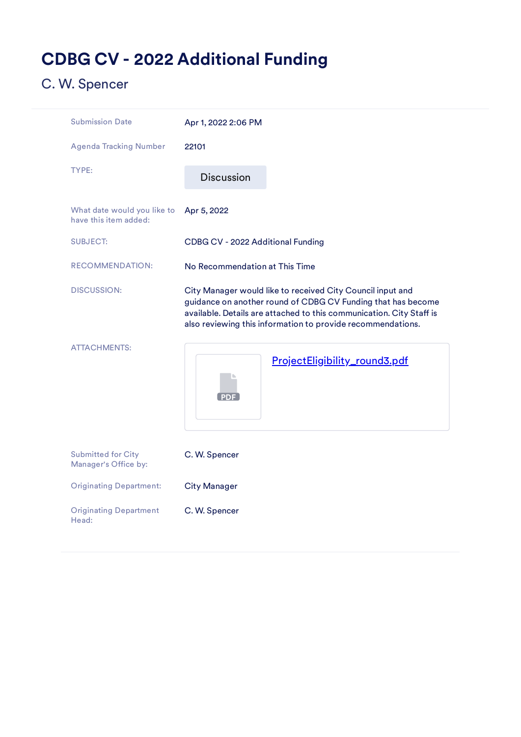# <span id="page-7-0"></span>CDBG CV - 2022 Additional Funding

| <b>Submission Date</b>                               | Apr 1, 2022 2:06 PM                                                                                                                                                                                                                                               |
|------------------------------------------------------|-------------------------------------------------------------------------------------------------------------------------------------------------------------------------------------------------------------------------------------------------------------------|
| <b>Agenda Tracking Number</b>                        | 22101                                                                                                                                                                                                                                                             |
| TYPE:                                                | <b>Discussion</b>                                                                                                                                                                                                                                                 |
| What date would you like to<br>have this item added: | Apr 5, 2022                                                                                                                                                                                                                                                       |
| <b>SUBJECT:</b>                                      | CDBG CV - 2022 Additional Funding                                                                                                                                                                                                                                 |
| <b>RECOMMENDATION:</b>                               | No Recommendation at This Time                                                                                                                                                                                                                                    |
| <b>DISCUSSION:</b>                                   | City Manager would like to received City Council input and<br>guidance on another round of CDBG CV Funding that has become<br>available. Details are attached to this communication. City Staff is<br>also reviewing this information to provide recommendations. |
| <b>ATTACHMENTS:</b>                                  | ProjectEligibility_round3.pdf<br><b>PDF</b>                                                                                                                                                                                                                       |
| <b>Submitted for City</b><br>Manager's Office by:    | C. W. Spencer                                                                                                                                                                                                                                                     |
| <b>Originating Department:</b>                       | <b>City Manager</b>                                                                                                                                                                                                                                               |
| <b>Originating Department</b><br>Head:               | C. W. Spencer                                                                                                                                                                                                                                                     |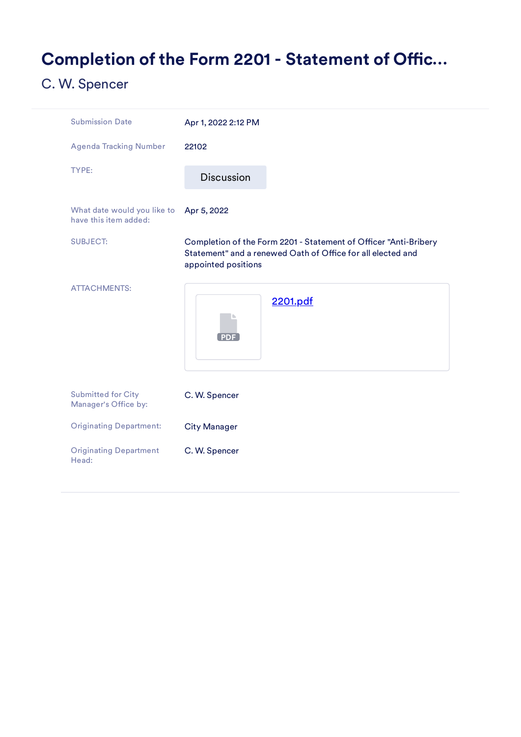## <span id="page-8-0"></span>Completion of the Form 2201 - Statement of Offic...

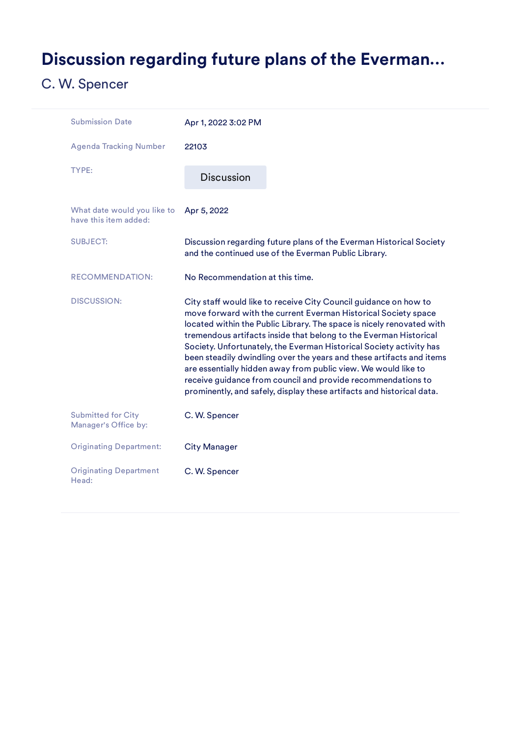# <span id="page-9-0"></span>Discussion regarding future plans of the Everman…

| <b>Submission Date</b>                               | Apr 1, 2022 3:02 PM             |                                                                                                                                                                                                                                                                                                                                                                                                                                                                                                                                                                                                                                            |
|------------------------------------------------------|---------------------------------|--------------------------------------------------------------------------------------------------------------------------------------------------------------------------------------------------------------------------------------------------------------------------------------------------------------------------------------------------------------------------------------------------------------------------------------------------------------------------------------------------------------------------------------------------------------------------------------------------------------------------------------------|
| <b>Agenda Tracking Number</b>                        | 22103                           |                                                                                                                                                                                                                                                                                                                                                                                                                                                                                                                                                                                                                                            |
| TYPE:                                                | <b>Discussion</b>               |                                                                                                                                                                                                                                                                                                                                                                                                                                                                                                                                                                                                                                            |
| What date would you like to<br>have this item added: | Apr 5, 2022                     |                                                                                                                                                                                                                                                                                                                                                                                                                                                                                                                                                                                                                                            |
| <b>SUBJECT:</b>                                      |                                 | Discussion regarding future plans of the Everman Historical Society<br>and the continued use of the Everman Public Library.                                                                                                                                                                                                                                                                                                                                                                                                                                                                                                                |
| <b>RECOMMENDATION:</b>                               | No Recommendation at this time. |                                                                                                                                                                                                                                                                                                                                                                                                                                                                                                                                                                                                                                            |
| <b>DISCUSSION:</b>                                   |                                 | City staff would like to receive City Council guidance on how to<br>move forward with the current Everman Historical Society space<br>located within the Public Library. The space is nicely renovated with<br>tremendous artifacts inside that belong to the Everman Historical<br>Society. Unfortunately, the Everman Historical Society activity has<br>been steadily dwindling over the years and these artifacts and items<br>are essentially hidden away from public view. We would like to<br>receive guidance from council and provide recommendations to<br>prominently, and safely, display these artifacts and historical data. |
| <b>Submitted for City</b><br>Manager's Office by:    | C. W. Spencer                   |                                                                                                                                                                                                                                                                                                                                                                                                                                                                                                                                                                                                                                            |
| <b>Originating Department:</b>                       | <b>City Manager</b>             |                                                                                                                                                                                                                                                                                                                                                                                                                                                                                                                                                                                                                                            |
| <b>Originating Department</b><br>Head:               | C. W. Spencer                   |                                                                                                                                                                                                                                                                                                                                                                                                                                                                                                                                                                                                                                            |